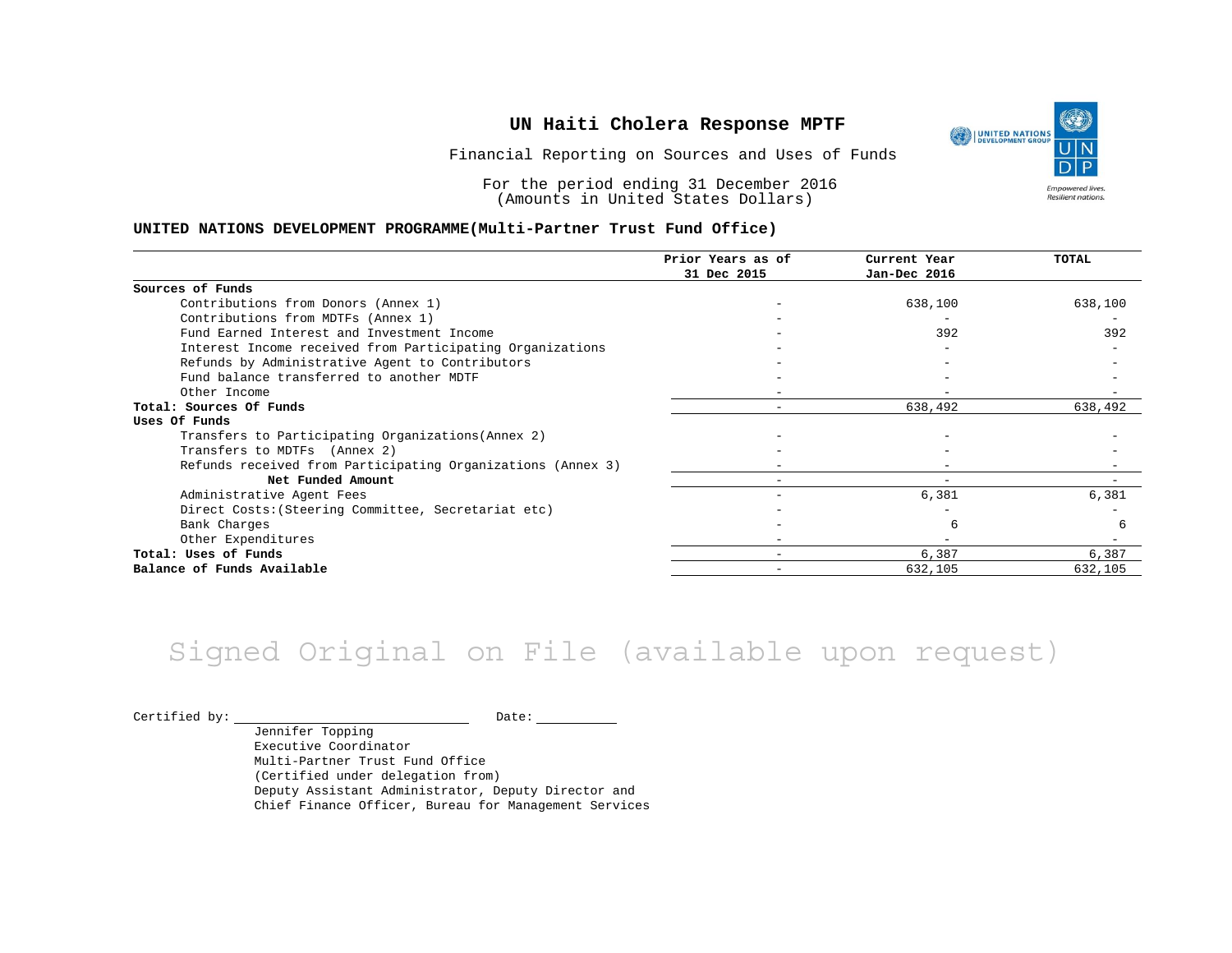UNITED NATIONS **Empowered lives** Resilient nations.

Financial Reporting on Sources and Uses of Funds

For the period ending 31 December 2016 (Amounts in United States Dollars)

#### **UNITED NATIONS DEVELOPMENT PROGRAMME(Multi-Partner Trust Fund Office)**

|                                                             | Prior Years as of<br>31 Dec 2015 | Current Year<br>Jan-Dec 2016 | TOTAL   |
|-------------------------------------------------------------|----------------------------------|------------------------------|---------|
|                                                             |                                  |                              |         |
| Sources of Funds                                            |                                  |                              |         |
| Contributions from Donors (Annex 1)                         |                                  | 638,100                      | 638,100 |
| Contributions from MDTFs (Annex 1)                          |                                  |                              |         |
| Fund Earned Interest and Investment Income                  |                                  | 392                          | 392     |
| Interest Income received from Participating Organizations   |                                  |                              |         |
| Refunds by Administrative Agent to Contributors             |                                  |                              |         |
| Fund balance transferred to another MDTF                    |                                  |                              |         |
| Other Income                                                |                                  |                              |         |
| Total: Sources Of Funds                                     |                                  | 638,492                      | 638,492 |
| Uses Of Funds                                               |                                  |                              |         |
| Transfers to Participating Organizations (Annex 2)          |                                  |                              |         |
| Transfers to MDTFs (Annex 2)                                |                                  |                              |         |
| Refunds received from Participating Organizations (Annex 3) |                                  |                              |         |
| Net Funded Amount                                           |                                  | $\overline{\phantom{0}}$     |         |
| Administrative Agent Fees                                   |                                  | 6,381                        | 6,381   |
| Direct Costs: (Steering Committee, Secretariat etc)         |                                  |                              |         |
| Bank Charges                                                |                                  |                              | 6       |
| Other Expenditures                                          |                                  |                              |         |
| Total: Uses of Funds                                        |                                  | 6,387                        | 6,387   |
| Balance of Funds Available                                  |                                  | 632,105                      | 632,105 |

## Signed Original on File (available upon request)

 $\begin{tabular}{c} \multicolumn{2}{c|}{\text{Certified by:}} \end{tabular} \begin{tabular}{c} \multicolumn{2}{c|}{\text{Date:}} \end{tabular} \begin{tabular}{c} \multicolumn{2}{c|}{\text{Date:}} \end{tabular}$ 

Jennifer Topping Executive Coordinator Multi-Partner Trust Fund Office (Certified under delegation from) Deputy Assistant Administrator, Deputy Director and Chief Finance Officer, Bureau for Management Services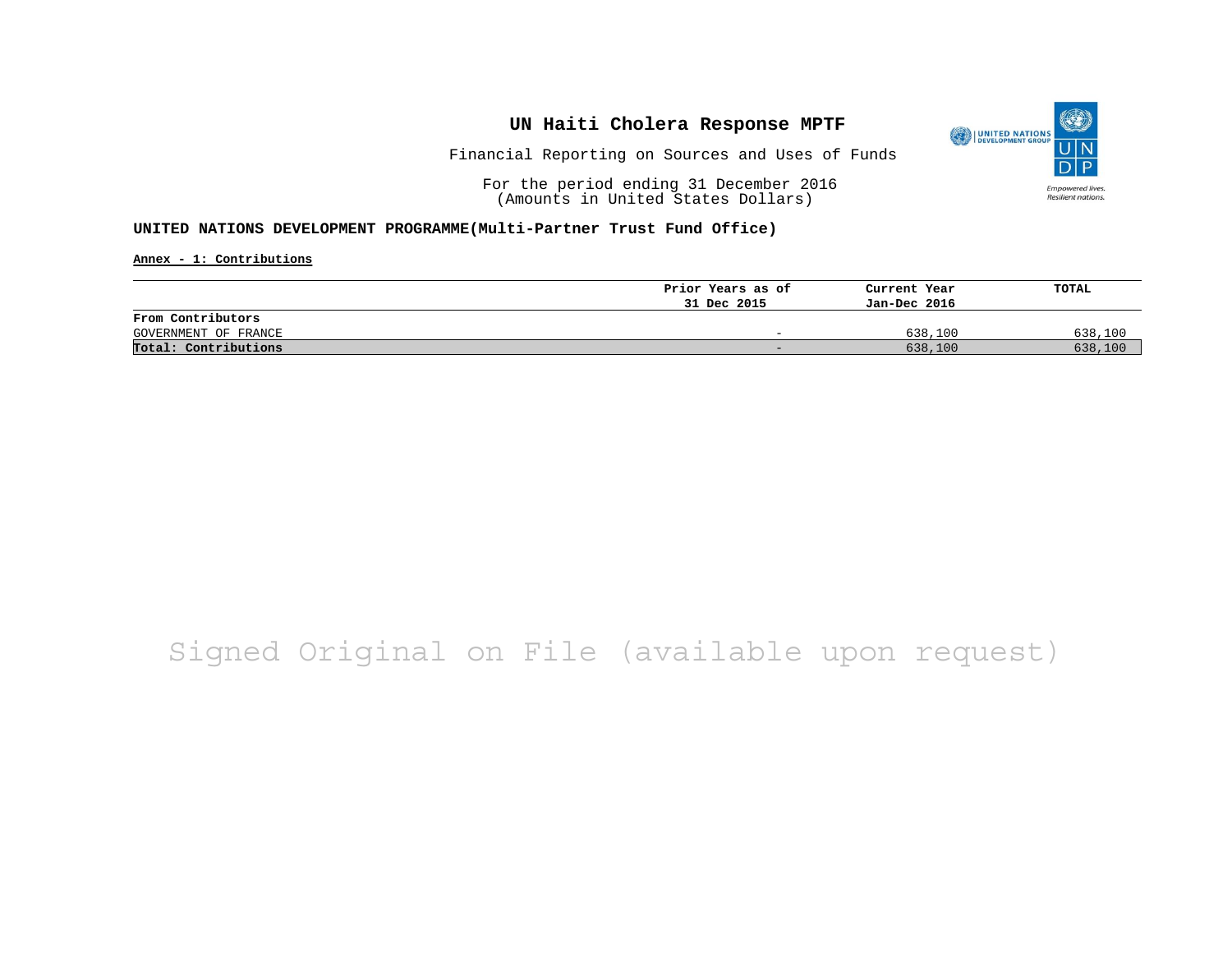

Financial Reporting on Sources and Uses of Funds

For the period ending 31 December 2016 (Amounts in United States Dollars)

#### **UNITED NATIONS DEVELOPMENT PROGRAMME(Multi-Partner Trust Fund Office)**

**Annex - 1: Contributions**

|                      | Prior Years as of | Current Year | TOTAL   |
|----------------------|-------------------|--------------|---------|
|                      | 31 Dec 2015       | Jan-Dec 2016 |         |
| From Contributors    |                   |              |         |
| GOVERNMENT OF FRANCE | -                 | 638,100      | 638,100 |
| Total: Contributions | -                 | 638,100      | 638,100 |

## Signed Original on File (available upon request)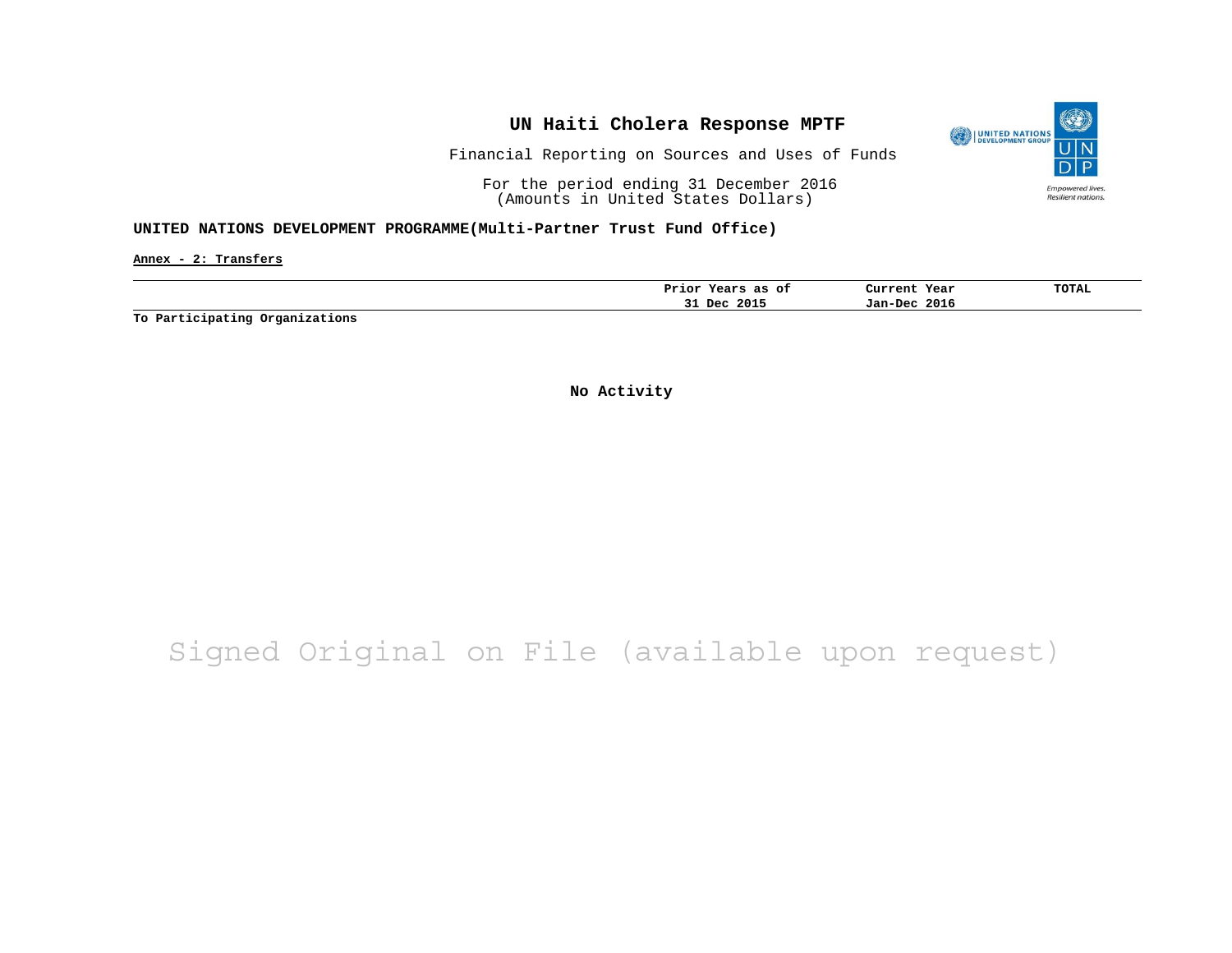

Financial Reporting on Sources and Uses of Funds

For the period ending 31 December 2016 (Amounts in United States Dollars)

#### **UNITED NATIONS DEVELOPMENT PROGRAMME(Multi-Partner Trust Fund Office)**

**Annex - 2: Transfers**

| ot<br>as<br>Prıor<br>rears | Current<br>Year | <b>TOTAL</b> |
|----------------------------|-----------------|--------------|
| 2015<br>Dec.<br>۔ ب        | 2016<br>Jan-Dec |              |

**To Participating Organizations**

**No Activity**

## Signed Original on File (available upon request)